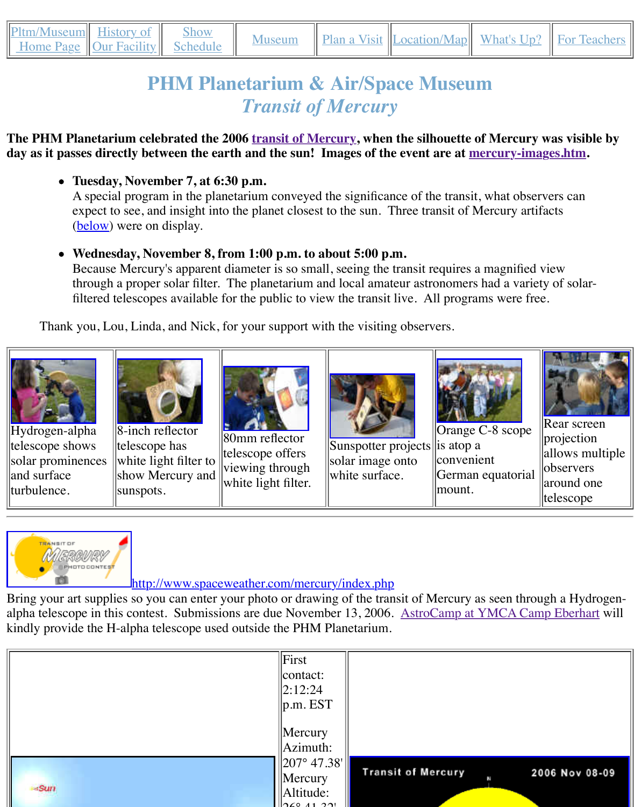#### **day as it passes directly between the earth and the sun! Images of the event are at mercury-images.htm.**

**Tuesday, November 7, at 6:30 p.m.**

[A s](http://old.transitofvenus.org/phm/index.htm)[pecial progra](http://old.transitofvenus.org/phm/history.htm)m [in the plan](http://old.transitofvenus.org/phm/schedule.htm)etari[um conve](http://old.transitofvenus.org/phm/museum.htm)ye[d the signific](http://old.transitofvenus.org/phm/plan.htm)a[nce of the trans](http://old.transitofvenus.org/phm/directions.htm)it, what expect to see, and insight into the planet closest to the sun. Three transit of Mercury (below) were on display.

# **Wednesday, November 8, from 1:00 p.m. to about 5:00 p.m.**

Because Mercury's apparent diameter is so small, seeing the transit requires a magnified views. through a proper solar filter. The planetarium and local amateur astronomers had filtered telescopes available for th[e public to view the](http://old.transitofvenus.org/mercury.htm) transit live. All programs we

Thank you, Lou, Linda, and Nick, for your support with the visiting observers.



Hydrogen-alpha telescope shows solar prominences and surface turbulence.



8-inch reflector telescope has white light filter to show Mercury and sunspots.



80mm reflector telescope offers viewing through white light filter.



Sunspotter projects solar image onto white surface.



Orange  $C-8$  s is atop a convenient German equa mount.



# [http://www.sp](http://old.transitofvenus.org/mercury03155.JPG)ac[eweather.com/me](http://old.transitofvenus.org/mercury03169.JPG)rcu[ry/index.php](http://old.transitofvenus.org/mercury03181.JPG)

Bring your art supplies so you can enter your photo or drawing of the transit of Mercury as see alpha telescope in this contest. Submissions are due November 13, 2006. AstroCamp at YMC kindly provide the H-alpha telescope used outside the PHM Planetarium.

|            | $\Vert$ First<br>$ $ contact:       |                           |
|------------|-------------------------------------|---------------------------|
|            | $\ 2:12:24$                         |                           |
|            | $\ p.m. EST\ $                      |                           |
|            | $\parallel$ Mercury                 |                           |
|            | $\text{Azimuth:}$                   |                           |
|            | $\parallel$ 207° 47.38' $\parallel$ |                           |
|            | $\vert$ Mercury                     | <b>Transit of Mercury</b> |
| <b>Sun</b> | Altitude:                           |                           |
|            | $\frac{1}{2}$                       |                           |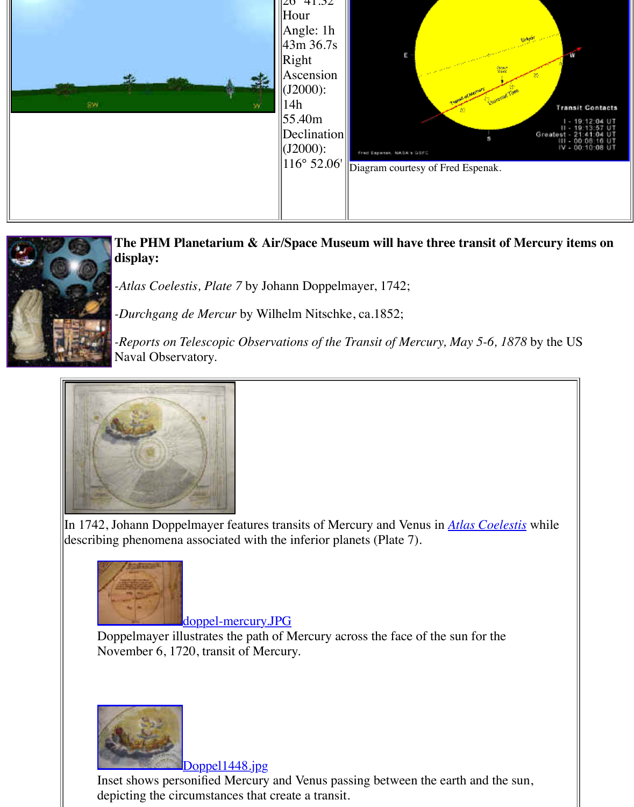

**The PHM Planetarium & Air/Space Museum will have three transit only in Approx display:**

*-Atlas Coelestis, Plate 7* by Johann Doppelmayer, 1742;

*-Durchgang de Mercur* by Wilhelm Nitschke, ca.1852;

*-Reports on Telescopic Observations of the Transit of Mercury, May 5-6, 1878* Naval Observatory.



In 1742, Johann Doppelmayer features transits of Mercury and Venus in *Atlas Coel* describing phenomena associated with the inferior planets (Plate 7).



doppel-mercury.JPG

Doppelmayer illustrates the path of Mercury across the face of the sun for the November 6, 1720, transit of Mercury.



Doppel1448.jpg

[Inset shows personified Mercury and](http://old.transitofvenus.org/doppel-mercury.JPG) Venus passing between the earth and the depicting the circumstances that create a transit.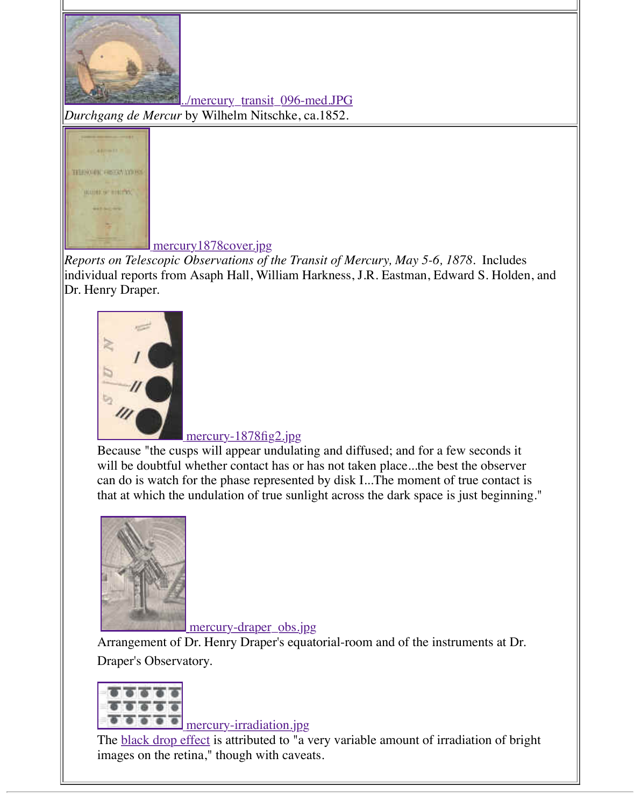

### mercury1878cover.jpg

*[Reports on Telescopic Observations of the Transit of M](http://old.transitofvenus.org/mercury_transit_096.JPG)ercury, May 5-6, 1878.* Incliindividual reports from Asaph Hall, William Harkness, J.R. Eastman, Edward S. Ho [Dr. Henry Draper.](http://old.transitofvenus.org/mercury-1878cover.jpg)



## mercury-1878fig2.jpg

Because "the cusps will appear undulating and diffused; and for a few second will be doubtful whether contact has or has not taken place...the best the observer [can do is watch for the phase represent](http://old.transitofvenus.org/mercury-1878fig2.jpg)ed by disk I...The moment of true contact is that at which the undulation of true sunlight across the dark space is just begi



mercury-draper\_obs.jpg

Arrangement of Dr. Henry Draper's equatorial-room and of the instruments at Draper's Observatory.



## mercury-irradiation.jpg

The **black drop effect** is attributed to "a very variable amount of irradiation of images on the retina," though with caveats.